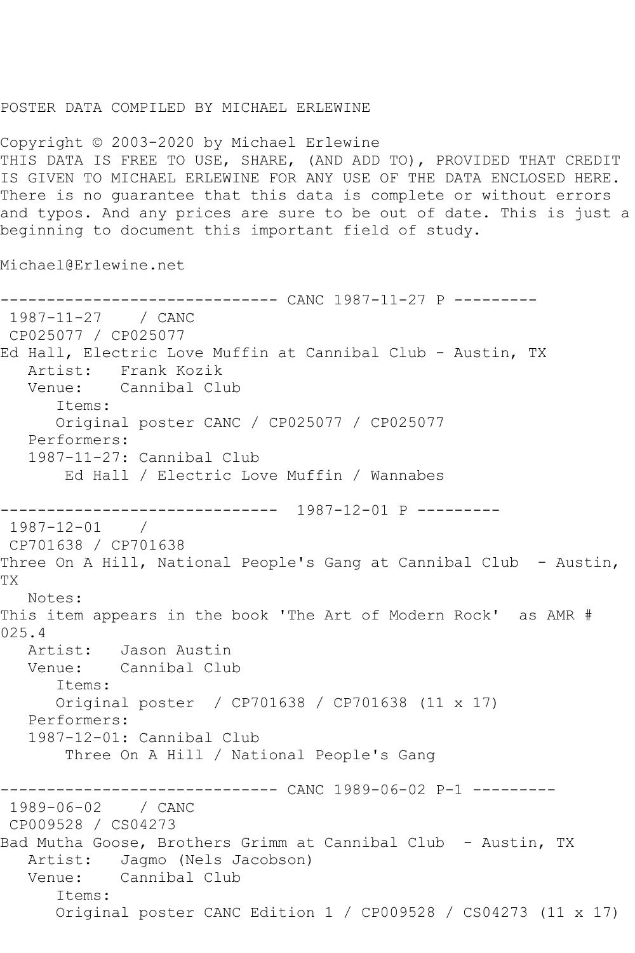## POSTER DATA COMPILED BY MICHAEL ERLEWINE

Copyright © 2003-2020 by Michael Erlewine THIS DATA IS FREE TO USE, SHARE, (AND ADD TO), PROVIDED THAT CREDIT IS GIVEN TO MICHAEL ERLEWINE FOR ANY USE OF THE DATA ENCLOSED HERE. There is no guarantee that this data is complete or without errors and typos. And any prices are sure to be out of date. This is just a beginning to document this important field of study.

Michael@Erlewine.net

------------------------------ CANC 1987-11-27 P --------- 1987-11-27 / CANC CP025077 / CP025077 Ed Hall, Electric Love Muffin at Cannibal Club - Austin, TX Artist: Frank Kozik Venue: Cannibal Club Items: Original poster CANC / CP025077 / CP025077 Performers: 1987-11-27: Cannibal Club Ed Hall / Electric Love Muffin / Wannabes ------------------------------ 1987-12-01 P --------- 1987-12-01 / CP701638 / CP701638 Three On A Hill, National People's Gang at Cannibal Club - Austin, TX Notes: This item appears in the book 'The Art of Modern Rock' as AMR # 025.4 Artist: Jason Austin Venue: Cannibal Club Items: Original poster / CP701638 / CP701638 (11 x 17) Performers: 1987-12-01: Cannibal Club Three On A Hill / National People's Gang ------------------------------ CANC 1989-06-02 P-1 --------- 1989-06-02 / CANC CP009528 / CS04273 Bad Mutha Goose, Brothers Grimm at Cannibal Club - Austin, TX Artist: Jagmo (Nels Jacobson) Venue: Cannibal Club Items: Original poster CANC Edition 1 / CP009528 / CS04273 (11 x 17)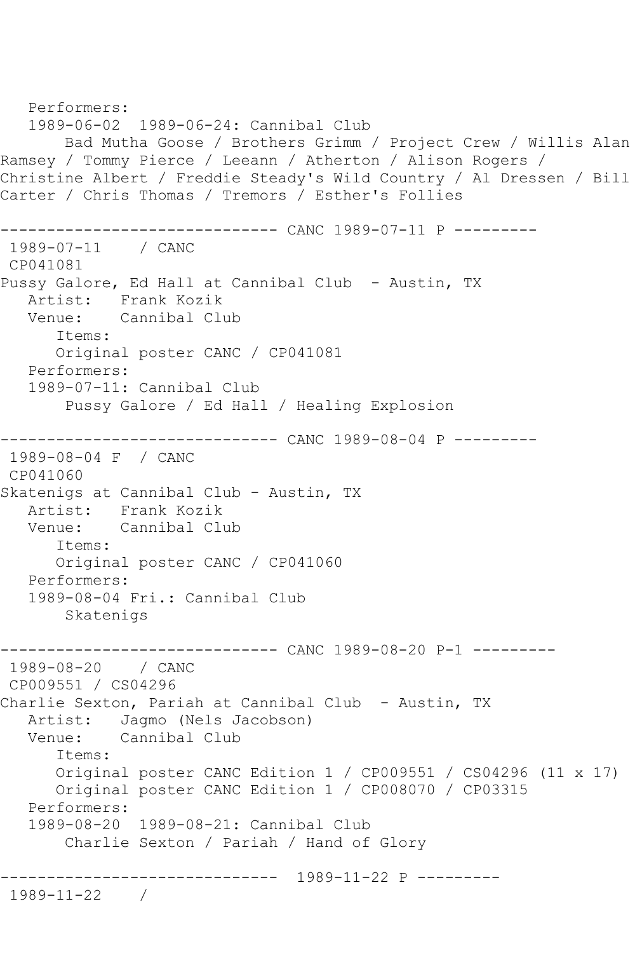```
 Performers:
   1989-06-02 1989-06-24: Cannibal Club
        Bad Mutha Goose / Brothers Grimm / Project Crew / Willis Alan 
Ramsey / Tommy Pierce / Leeann / Atherton / Alison Rogers / 
Christine Albert / Freddie Steady's Wild Country / Al Dressen / Bill 
Carter / Chris Thomas / Tremors / Esther's Follies
------------------------------ CANC 1989-07-11 P ---------
1989-07-11 / CANC 
CP041081
Pussy Galore, Ed Hall at Cannibal Club - Austin, TX
  Artist: Frank Kozik<br>Venue: Cannibal Clu
            Cannibal Club
       Items:
       Original poster CANC / CP041081
   Performers:
    1989-07-11: Cannibal Club
        Pussy Galore / Ed Hall / Healing Explosion
------------------------------ CANC 1989-08-04 P ---------
1989-08-04 F / CANC 
CP041060
Skatenigs at Cannibal Club - Austin, TX
   Artist: Frank Kozik
   Venue: Cannibal Club
       Items:
       Original poster CANC / CP041060
   Performers:
    1989-08-04 Fri.: Cannibal Club
        Skatenigs
------------------------------ CANC 1989-08-20 P-1 ---------
1989-08-20 / CANC 
CP009551 / CS04296
Charlie Sexton, Pariah at Cannibal Club - Austin, TX
  Artist: Jagmo (Nels Jacobson)<br>Venue: Cannibal Club
            Cannibal Club
       Items:
       Original poster CANC Edition 1 / CP009551 / CS04296 (11 x 17)
       Original poster CANC Edition 1 / CP008070 / CP03315
   Performers:
    1989-08-20 1989-08-21: Cannibal Club
        Charlie Sexton / Pariah / Hand of Glory
  ------------------------------ 1989-11-22 P ---------
1989-11-22 /
```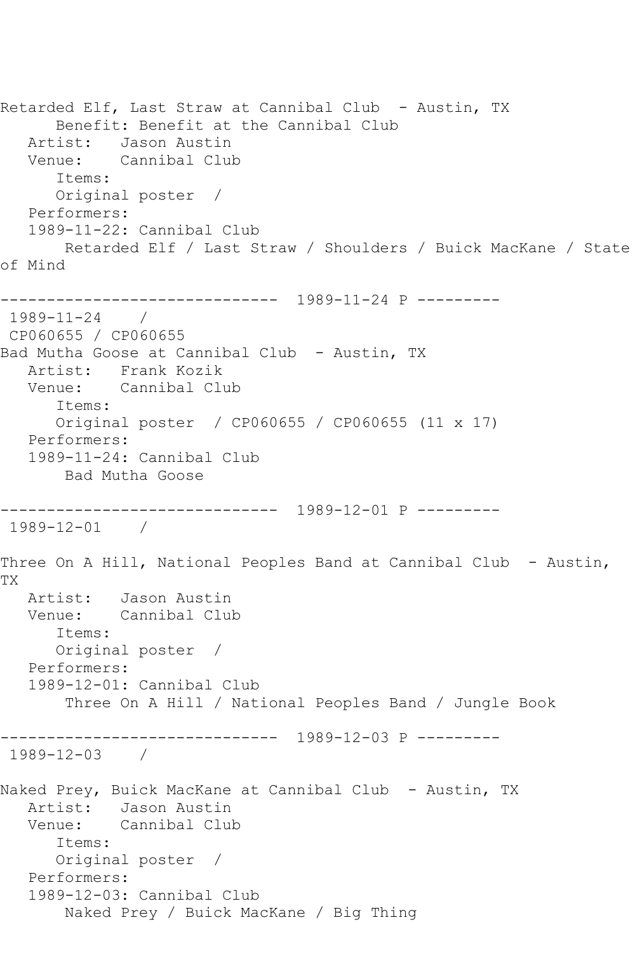```
Retarded Elf, Last Straw at Cannibal Club - Austin, TX
      Benefit: Benefit at the Cannibal Club
   Artist: Jason Austin
   Venue: Cannibal Club
      Items:
      Original poster / 
   Performers:
   1989-11-22: Cannibal Club
       Retarded Elf / Last Straw / Shoulders / Buick MacKane / State 
of Mind
------------------------------ 1989-11-24 P ---------
1989-11-24 / 
CP060655 / CP060655
Bad Mutha Goose at Cannibal Club - Austin, TX
   Artist: Frank Kozik
   Venue: Cannibal Club
      Items:
      Original poster / CP060655 / CP060655 (11 x 17)
   Performers:
   1989-11-24: Cannibal Club
       Bad Mutha Goose
------------------------------ 1989-12-01 P ---------
1989-12-01 / 
Three On A Hill, National Peoples Band at Cannibal Club - Austin,
TX
   Artist: Jason Austin
   Venue: Cannibal Club
      Items:
      Original poster / 
   Performers:
   1989-12-01: Cannibal Club
       Three On A Hill / National Peoples Band / Jungle Book
------------------------------ 1989-12-03 P ---------
1989-12-03 / 
Naked Prey, Buick MacKane at Cannibal Club - Austin, TX
   Artist: Jason Austin
   Venue: Cannibal Club
      Items:
      Original poster / 
   Performers:
   1989-12-03: Cannibal Club
       Naked Prey / Buick MacKane / Big Thing
```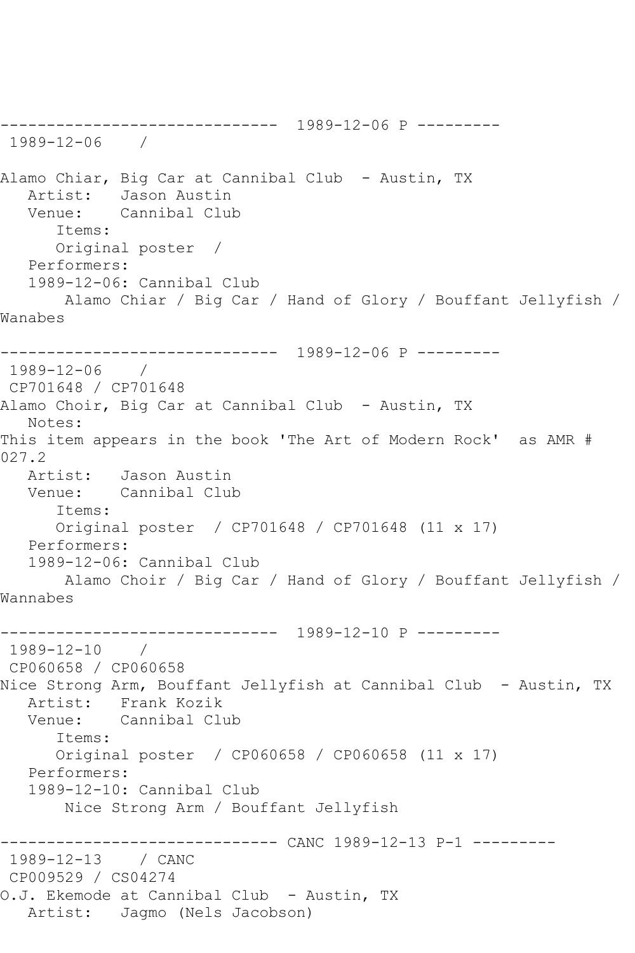------------------------------ 1989-12-06 P --------- 1989-12-06 / Alamo Chiar, Big Car at Cannibal Club - Austin, TX Artist: Jason Austin<br>Venue: Cannibal Club Cannibal Club Items: Original poster / Performers: 1989-12-06: Cannibal Club Alamo Chiar / Big Car / Hand of Glory / Bouffant Jellyfish / Wanabes ------------------------------ 1989-12-06 P --------- 1989-12-06 / CP701648 / CP701648 Alamo Choir, Big Car at Cannibal Club - Austin, TX Notes: This item appears in the book 'The Art of Modern Rock' as AMR # 027.2 Artist: Jason Austin Venue: Cannibal Club Items: Original poster / CP701648 / CP701648 (11 x 17) Performers: 1989-12-06: Cannibal Club Alamo Choir / Big Car / Hand of Glory / Bouffant Jellyfish / Wannabes ------------------------------ 1989-12-10 P --------- 1989-12-10 / CP060658 / CP060658 Nice Strong Arm, Bouffant Jellyfish at Cannibal Club - Austin, TX Artist: Frank Kozik<br>Venue: Cannibal Clu Cannibal Club Items: Original poster / CP060658 / CP060658 (11 x 17) Performers: 1989-12-10: Cannibal Club Nice Strong Arm / Bouffant Jellyfish ------------------------------ CANC 1989-12-13 P-1 --------- 1989-12-13 / CANC CP009529 / CS04274 O.J. Ekemode at Cannibal Club - Austin, TX Artist: Jagmo (Nels Jacobson)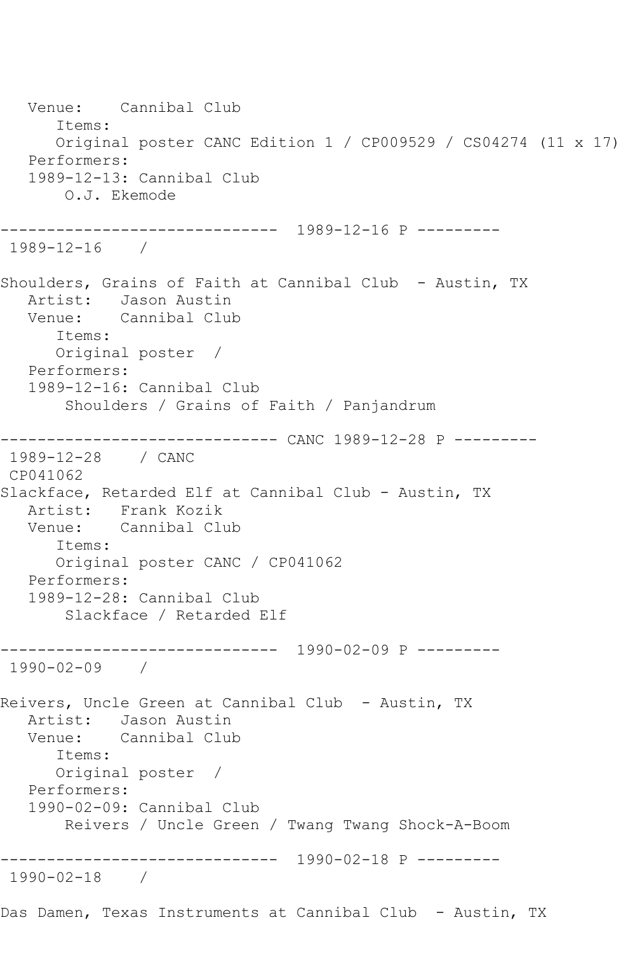Venue: Cannibal Club Items: Original poster CANC Edition 1 / CP009529 / CS04274 (11 x 17) Performers: 1989-12-13: Cannibal Club O.J. Ekemode ------------------------------ 1989-12-16 P --------- 1989-12-16 / Shoulders, Grains of Faith at Cannibal Club - Austin, TX Artist: Jason Austin<br>Venue: Cannibal Clul Cannibal Club Items: Original poster / Performers: 1989-12-16: Cannibal Club Shoulders / Grains of Faith / Panjandrum ------------------------------ CANC 1989-12-28 P --------- 1989-12-28 / CANC CP041062 Slackface, Retarded Elf at Cannibal Club - Austin, TX Artist: Frank Kozik Venue: Cannibal Club Items: Original poster CANC / CP041062 Performers: 1989-12-28: Cannibal Club Slackface / Retarded Elf ------------------------------ 1990-02-09 P --------- 1990-02-09 / Reivers, Uncle Green at Cannibal Club - Austin, TX Artist: Jason Austin<br>Venue: Cannibal Clul Cannibal Club Items: Original poster / Performers: 1990-02-09: Cannibal Club Reivers / Uncle Green / Twang Twang Shock-A-Boom ------------------------------ 1990-02-18 P --------- 1990-02-18 / Das Damen, Texas Instruments at Cannibal Club - Austin, TX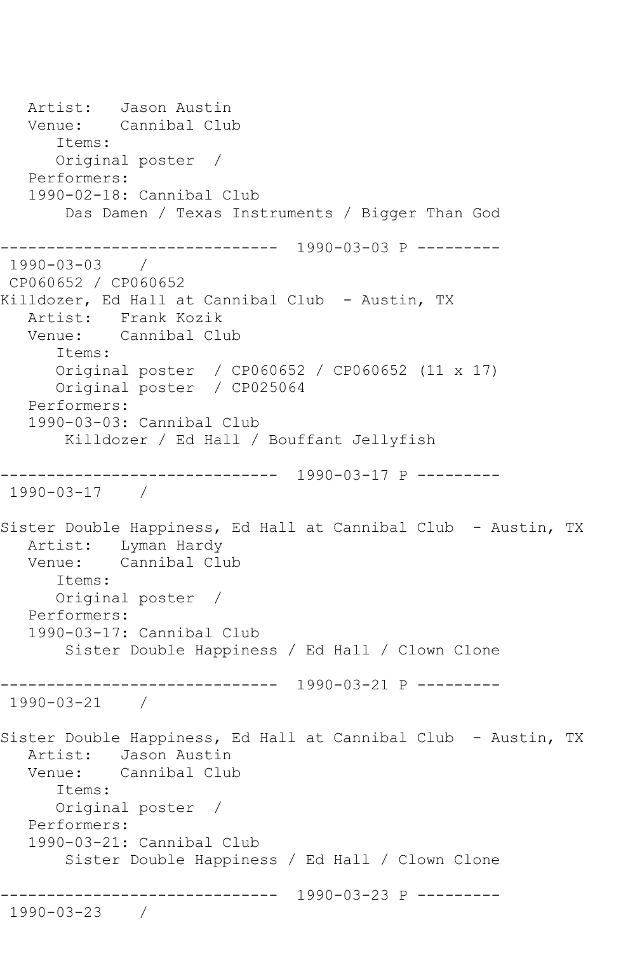Artist: Jason Austin<br>Venue: Cannibal Clu Cannibal Club Items: Original poster / Performers: 1990-02-18: Cannibal Club Das Damen / Texas Instruments / Bigger Than God ------------------------------ 1990-03-03 P --------- 1990-03-03 / CP060652 / CP060652 Killdozer, Ed Hall at Cannibal Club - Austin, TX Artist: Frank Kozik Venue: Cannibal Club Items: Original poster / CP060652 / CP060652 (11 x 17) Original poster / CP025064 Performers: 1990-03-03: Cannibal Club Killdozer / Ed Hall / Bouffant Jellyfish ------------------------------ 1990-03-17 P --------- 1990-03-17 / Sister Double Happiness, Ed Hall at Cannibal Club - Austin, TX Artist: Lyman Hardy<br>Venue: Cannibal Cl Cannibal Club Items: Original poster / Performers: 1990-03-17: Cannibal Club Sister Double Happiness / Ed Hall / Clown Clone ------------------------------ 1990-03-21 P --------- 1990-03-21 / Sister Double Happiness, Ed Hall at Cannibal Club - Austin, TX Artist: Jason Austin Venue: Cannibal Club Items: Original poster / Performers: 1990-03-21: Cannibal Club Sister Double Happiness / Ed Hall / Clown Clone ------------------------------ 1990-03-23 P --------- 1990-03-23 /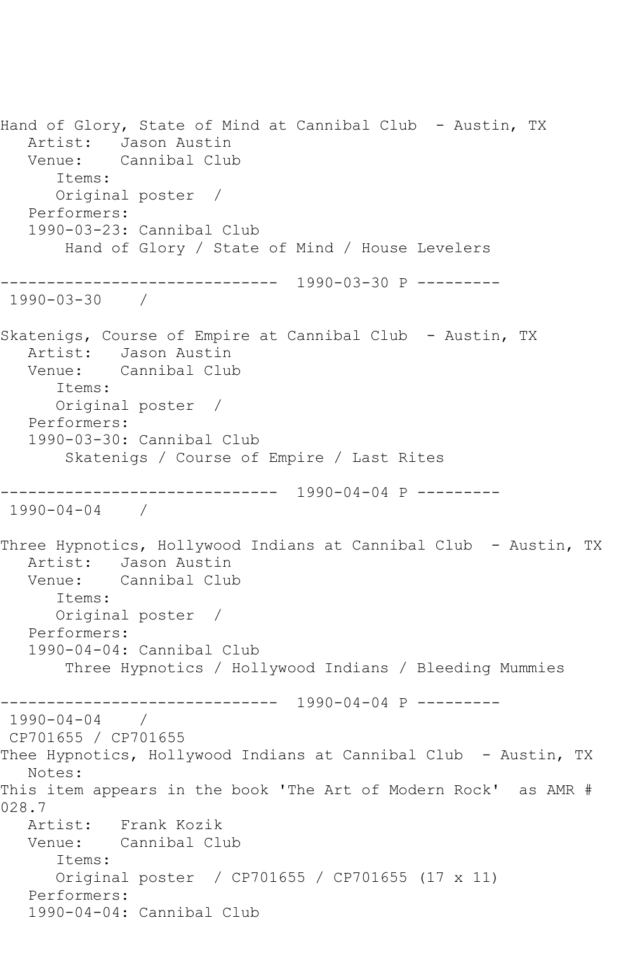Hand of Glory, State of Mind at Cannibal Club - Austin, TX Artist: Jason Austin Venue: Cannibal Club Items: Original poster / Performers: 1990-03-23: Cannibal Club Hand of Glory / State of Mind / House Levelers ------------------------------ 1990-03-30 P --------- 1990-03-30 / Skatenigs, Course of Empire at Cannibal Club - Austin, TX Artist: Jason Austin Venue: Cannibal Club Items: Original poster / Performers: 1990-03-30: Cannibal Club Skatenigs / Course of Empire / Last Rites ------------------------------ 1990-04-04 P --------- 1990-04-04 / Three Hypnotics, Hollywood Indians at Cannibal Club - Austin, TX Artist: Jason Austin<br>Venue: Cannibal Clu Cannibal Club Items: Original poster / Performers: 1990-04-04: Cannibal Club Three Hypnotics / Hollywood Indians / Bleeding Mummies ------------------------------ 1990-04-04 P --------- 1990-04-04 / CP701655 / CP701655 Thee Hypnotics, Hollywood Indians at Cannibal Club - Austin, TX Notes: This item appears in the book 'The Art of Modern Rock' as AMR # 028.7 Artist: Frank Kozik Venue: Cannibal Club Items: Original poster / CP701655 / CP701655 (17 x 11) Performers: 1990-04-04: Cannibal Club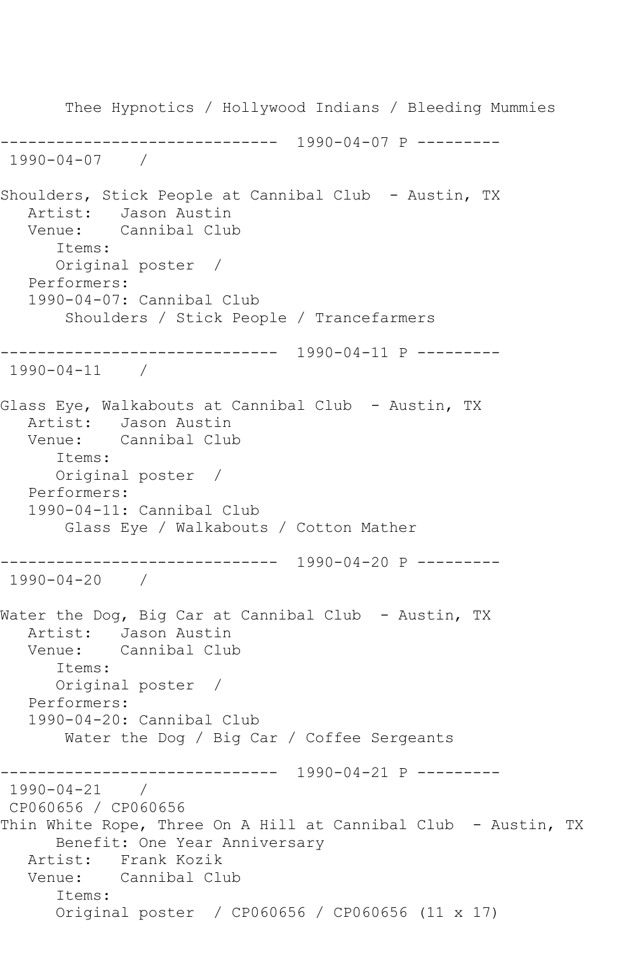Thee Hypnotics / Hollywood Indians / Bleeding Mummies ------------------------------ 1990-04-07 P --------- 1990-04-07 / Shoulders, Stick People at Cannibal Club - Austin, TX Artist: Jason Austin<br>Venue: Cannibal Clu Cannibal Club Items: Original poster / Performers: 1990-04-07: Cannibal Club Shoulders / Stick People / Trancefarmers ------------------------------ 1990-04-11 P --------- 1990-04-11 / Glass Eye, Walkabouts at Cannibal Club - Austin, TX Artist: Jason Austin Venue: Cannibal Club Items: Original poster / Performers: 1990-04-11: Cannibal Club Glass Eye / Walkabouts / Cotton Mather ------------------------------ 1990-04-20 P --------- 1990-04-20 / Water the Dog, Big Car at Cannibal Club - Austin, TX Artist: Jason Austin Venue: Cannibal Club Items: Original poster / Performers: 1990-04-20: Cannibal Club Water the Dog / Big Car / Coffee Sergeants ------------------------------ 1990-04-21 P --------- 1990-04-21 / CP060656 / CP060656 Thin White Rope, Three On A Hill at Cannibal Club - Austin, TX Benefit: One Year Anniversary Artist: Frank Kozik Venue: Cannibal Club Items: Original poster / CP060656 / CP060656 (11 x 17)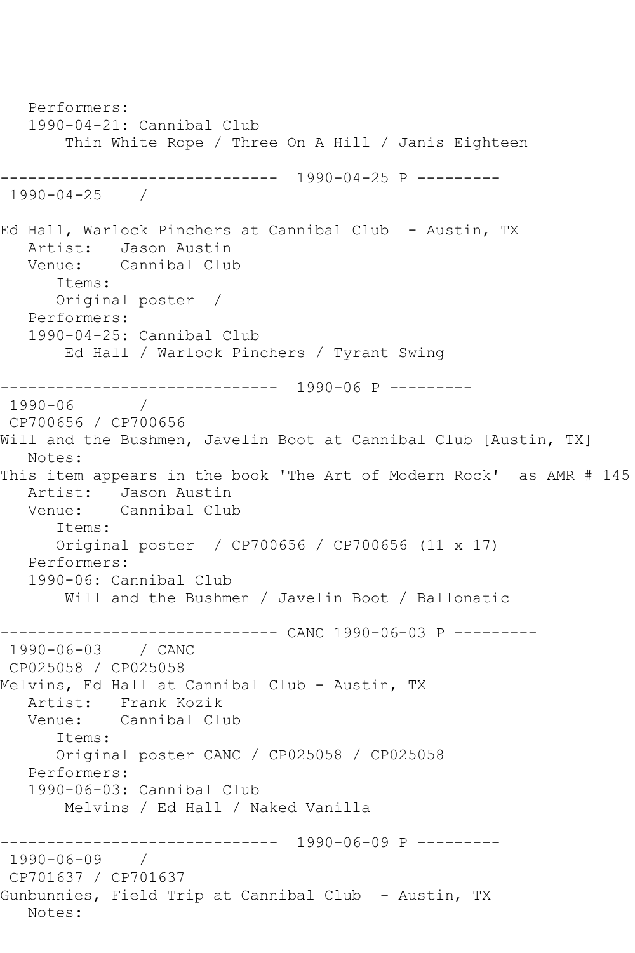Performers: 1990-04-21: Cannibal Club Thin White Rope / Three On A Hill / Janis Eighteen ------------------------------ 1990-04-25 P --------- 1990-04-25 / Ed Hall, Warlock Pinchers at Cannibal Club - Austin, TX Artist: Jason Austin<br>Venue: Cannibal Clul Cannibal Club Items: Original poster / Performers: 1990-04-25: Cannibal Club Ed Hall / Warlock Pinchers / Tyrant Swing ------------------------------ 1990-06 P --------- 1990-06 / CP700656 / CP700656 Will and the Bushmen, Javelin Boot at Cannibal Club [Austin, TX] Notes: This item appears in the book 'The Art of Modern Rock' as AMR # 145 Artist: Jason Austin Venue: Cannibal Club Items: Original poster / CP700656 / CP700656 (11 x 17) Performers: 1990-06: Cannibal Club Will and the Bushmen / Javelin Boot / Ballonatic ------------------------------ CANC 1990-06-03 P --------- 1990-06-03 / CANC CP025058 / CP025058 Melvins, Ed Hall at Cannibal Club - Austin, TX Artist: Frank Kozik Venue: Cannibal Club Items: Original poster CANC / CP025058 / CP025058 Performers: 1990-06-03: Cannibal Club Melvins / Ed Hall / Naked Vanilla ------------------------------ 1990-06-09 P --------- 1990-06-09 / CP701637 / CP701637 Gunbunnies, Field Trip at Cannibal Club - Austin, TX Notes: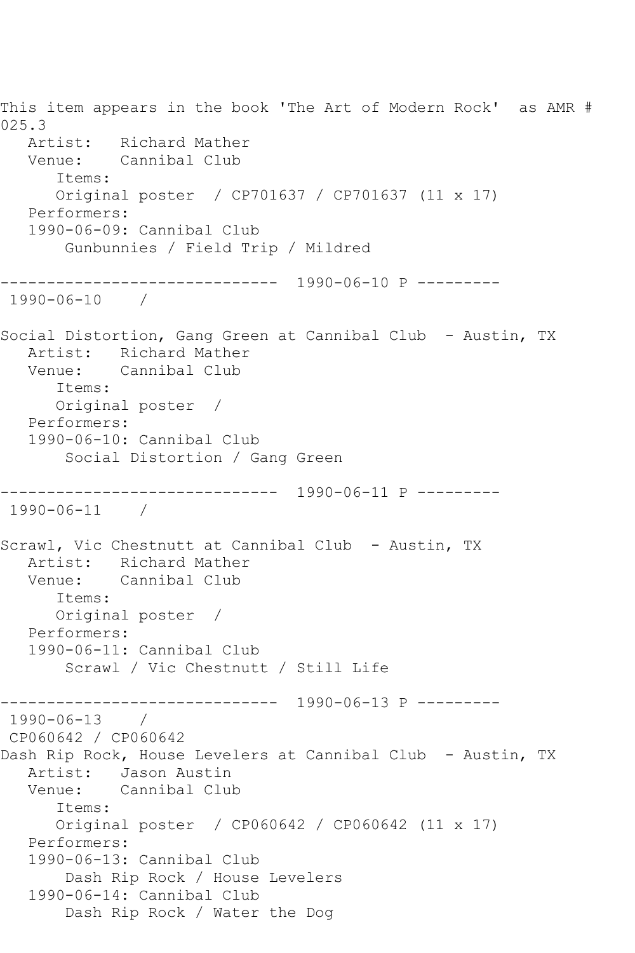This item appears in the book 'The Art of Modern Rock' as AMR # 025.3 Artist: Richard Mather Venue: Cannibal Club Items: Original poster / CP701637 / CP701637 (11 x 17) Performers: 1990-06-09: Cannibal Club Gunbunnies / Field Trip / Mildred ------------------------------ 1990-06-10 P --------- 1990-06-10 / Social Distortion, Gang Green at Cannibal Club - Austin, TX Artist: Richard Mather Venue: Cannibal Club Items: Original poster / Performers: 1990-06-10: Cannibal Club Social Distortion / Gang Green ------------------------------ 1990-06-11 P --------- 1990-06-11 / Scrawl, Vic Chestnutt at Cannibal Club - Austin, TX Artist: Richard Mather Venue: Cannibal Club Items: Original poster / Performers: 1990-06-11: Cannibal Club Scrawl / Vic Chestnutt / Still Life ------------------------------ 1990-06-13 P --------- 1990-06-13 / CP060642 / CP060642 Dash Rip Rock, House Levelers at Cannibal Club - Austin, TX Artist: Jason Austin<br>Venue: Cannibal Club Cannibal Club Items: Original poster / CP060642 / CP060642 (11 x 17) Performers: 1990-06-13: Cannibal Club Dash Rip Rock / House Levelers 1990-06-14: Cannibal Club Dash Rip Rock / Water the Dog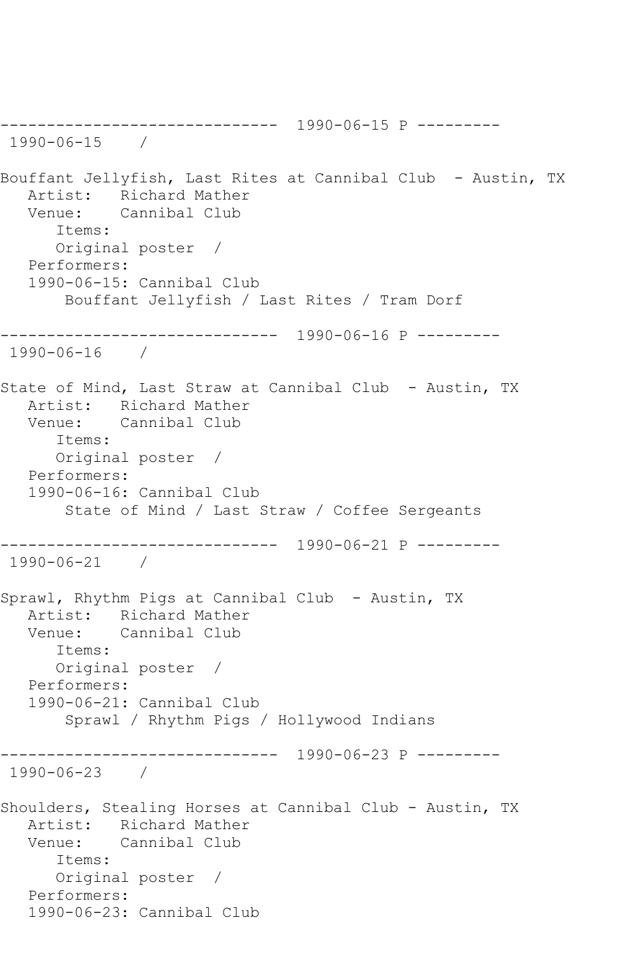------------------------------ 1990-06-15 P --------- 1990-06-15 / Bouffant Jellyfish, Last Rites at Cannibal Club - Austin, TX Artist: Richard Mather<br>Venue: Cannibal Club Cannibal Club Items: Original poster / Performers: 1990-06-15: Cannibal Club Bouffant Jellyfish / Last Rites / Tram Dorf ------------------------------ 1990-06-16 P --------- 1990-06-16 / State of Mind, Last Straw at Cannibal Club - Austin, TX Artist: Richard Mather Venue: Cannibal Club Items: Original poster / Performers: 1990-06-16: Cannibal Club State of Mind / Last Straw / Coffee Sergeants ------------------------------ 1990-06-21 P --------- 1990-06-21 / Sprawl, Rhythm Pigs at Cannibal Club - Austin, TX Artist: Richard Mather<br>Venue: Cannibal Club Cannibal Club Items: Original poster / Performers: 1990-06-21: Cannibal Club Sprawl / Rhythm Pigs / Hollywood Indians ------------------------------ 1990-06-23 P --------- 1990-06-23 / Shoulders, Stealing Horses at Cannibal Club - Austin, TX Artist: Richard Mather Venue: Cannibal Club Items: Original poster / Performers: 1990-06-23: Cannibal Club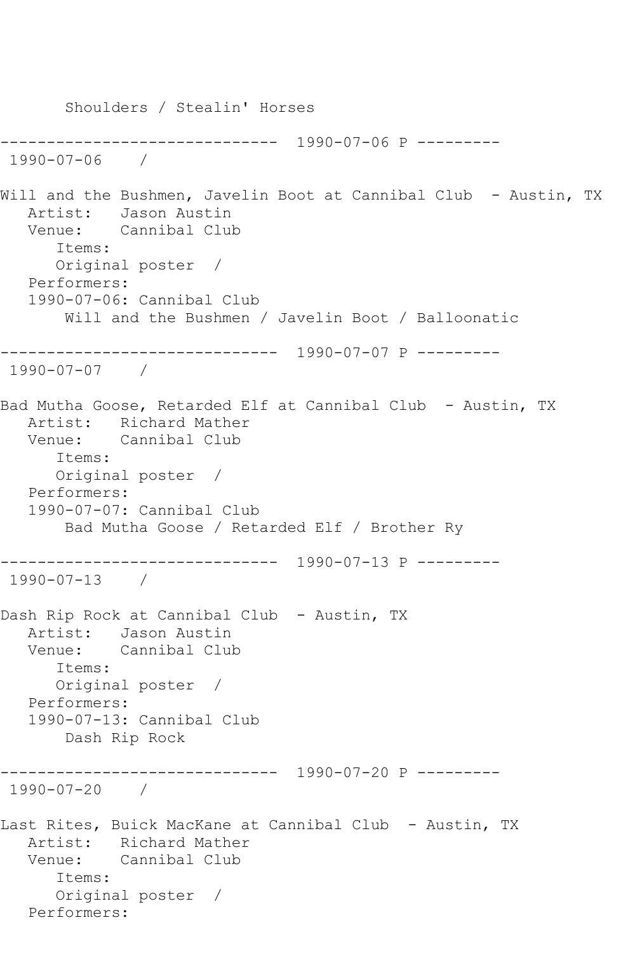Shoulders / Stealin' Horses ------------------------------ 1990-07-06 P --------- 1990-07-06 / Will and the Bushmen, Javelin Boot at Cannibal Club - Austin, TX Artist: Jason Austin Venue: Cannibal Club Items: Original poster / Performers: 1990-07-06: Cannibal Club Will and the Bushmen / Javelin Boot / Balloonatic ------------------------------ 1990-07-07 P --------- 1990-07-07 / Bad Mutha Goose, Retarded Elf at Cannibal Club - Austin, TX Artist: Richard Mather Venue: Cannibal Club Items: Original poster / Performers: 1990-07-07: Cannibal Club Bad Mutha Goose / Retarded Elf / Brother Ry ------------------------------ 1990-07-13 P --------- 1990-07-13 / Dash Rip Rock at Cannibal Club - Austin, TX Artist: Jason Austin Venue: Cannibal Club Items: Original poster / Performers: 1990-07-13: Cannibal Club Dash Rip Rock ------------------------------ 1990-07-20 P --------- 1990-07-20 / Last Rites, Buick MacKane at Cannibal Club - Austin, TX Artist: Richard Mather Venue: Cannibal Club Items: Original poster / Performers: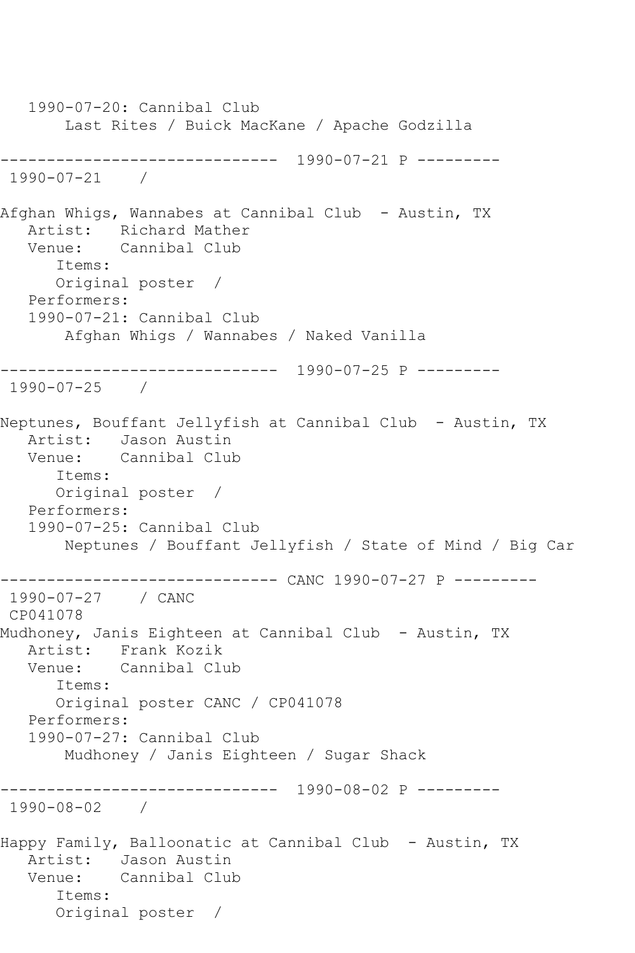1990-07-20: Cannibal Club Last Rites / Buick MacKane / Apache Godzilla ------------------------------ 1990-07-21 P --------- 1990-07-21 / Afghan Whigs, Wannabes at Cannibal Club - Austin, TX Artist: Richard Mather Venue: Cannibal Club Items: Original poster / Performers: 1990-07-21: Cannibal Club Afghan Whigs / Wannabes / Naked Vanilla ------------------------------ 1990-07-25 P --------- 1990-07-25 / Neptunes, Bouffant Jellyfish at Cannibal Club - Austin, TX Artist: Jason Austin Venue: Cannibal Club Items: Original poster / Performers: 1990-07-25: Cannibal Club Neptunes / Bouffant Jellyfish / State of Mind / Big Car ------------------------------ CANC 1990-07-27 P --------- 1990-07-27 / CANC CP041078 Mudhoney, Janis Eighteen at Cannibal Club - Austin, TX Artist: Frank Kozik<br>Venue: Cannibal Clu Cannibal Club Items: Original poster CANC / CP041078 Performers: 1990-07-27: Cannibal Club Mudhoney / Janis Eighteen / Sugar Shack ------------------------------ 1990-08-02 P --------- 1990-08-02 / Happy Family, Balloonatic at Cannibal Club - Austin, TX Artist: Jason Austin Venue: Cannibal Club Items: Original poster /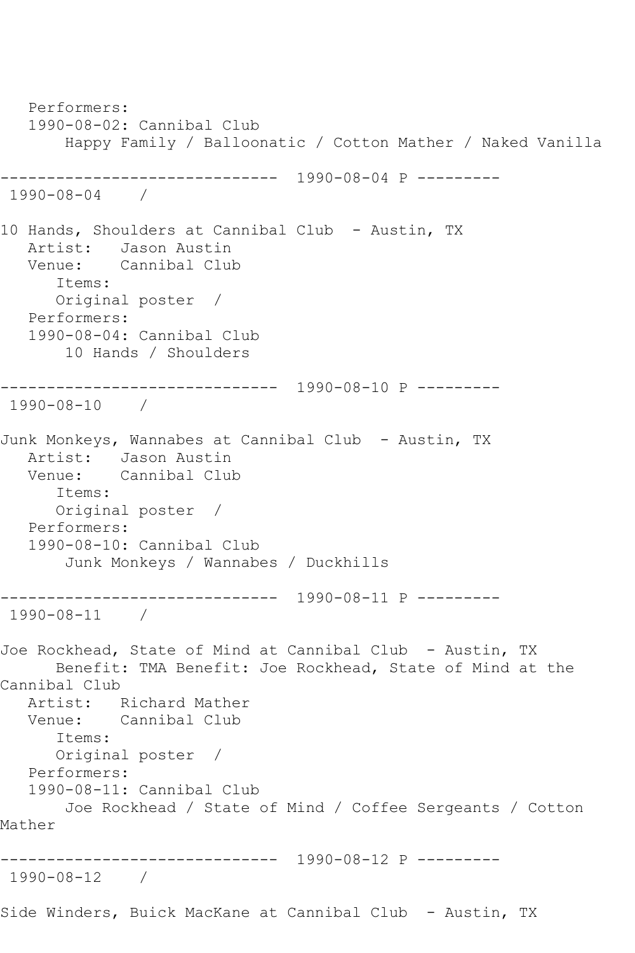Performers: 1990-08-02: Cannibal Club Happy Family / Balloonatic / Cotton Mather / Naked Vanilla ------------------------------ 1990-08-04 P --------- 1990-08-04 / 10 Hands, Shoulders at Cannibal Club - Austin, TX Artist: Jason Austin<br>Venue: Cannibal Clul Cannibal Club Items: Original poster / Performers: 1990-08-04: Cannibal Club 10 Hands / Shoulders ------------------------------ 1990-08-10 P --------- 1990-08-10 / Junk Monkeys, Wannabes at Cannibal Club - Austin, TX Artist: Jason Austin Venue: Cannibal Club Items: Original poster / Performers: 1990-08-10: Cannibal Club Junk Monkeys / Wannabes / Duckhills ------------------------------ 1990-08-11 P --------- 1990-08-11 / Joe Rockhead, State of Mind at Cannibal Club - Austin, TX Benefit: TMA Benefit: Joe Rockhead, State of Mind at the Cannibal Club Artist: Richard Mather Venue: Cannibal Club Items: Original poster / Performers: 1990-08-11: Cannibal Club Joe Rockhead / State of Mind / Coffee Sergeants / Cotton Mather ------------------------------ 1990-08-12 P --------- 1990-08-12 / Side Winders, Buick MacKane at Cannibal Club - Austin, TX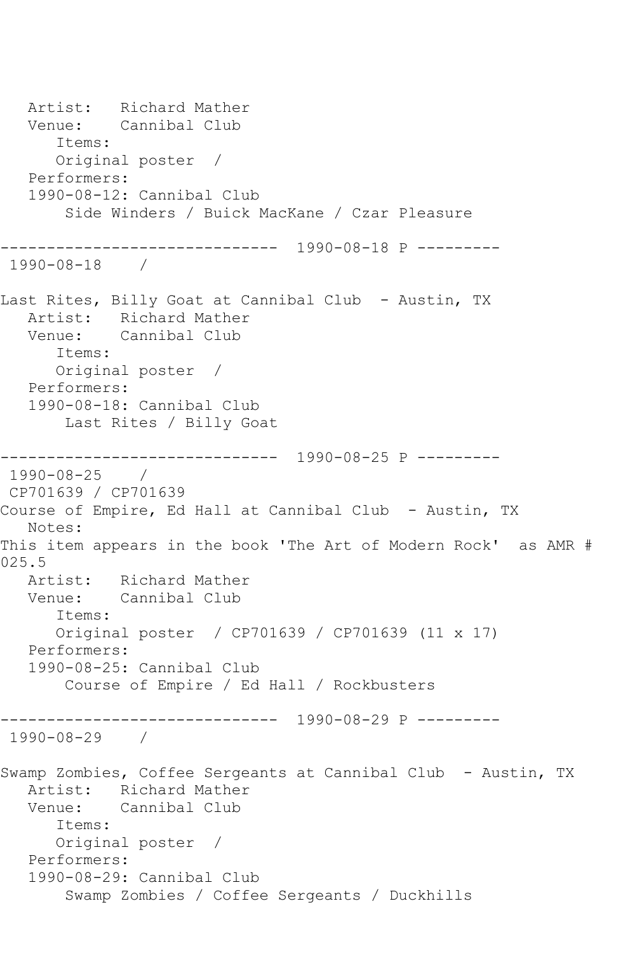Artist: Richard Mather<br>Venue: Cannibal Club Cannibal Club Items: Original poster / Performers: 1990-08-12: Cannibal Club Side Winders / Buick MacKane / Czar Pleasure ------------------------------ 1990-08-18 P --------- 1990-08-18 / Last Rites, Billy Goat at Cannibal Club - Austin, TX Artist: Richard Mather Venue: Cannibal Club Items: Original poster / Performers: 1990-08-18: Cannibal Club Last Rites / Billy Goat ------------------------------ 1990-08-25 P --------- 1990-08-25 / CP701639 / CP701639 Course of Empire, Ed Hall at Cannibal Club - Austin, TX Notes: This item appears in the book 'The Art of Modern Rock' as AMR # 025.5 Artist: Richard Mather Venue: Cannibal Club Items: Original poster / CP701639 / CP701639 (11 x 17) Performers: 1990-08-25: Cannibal Club Course of Empire / Ed Hall / Rockbusters ------------------------------ 1990-08-29 P --------- 1990-08-29 / Swamp Zombies, Coffee Sergeants at Cannibal Club - Austin, TX Artist: Richard Mather Venue: Cannibal Club Items: Original poster / Performers: 1990-08-29: Cannibal Club Swamp Zombies / Coffee Sergeants / Duckhills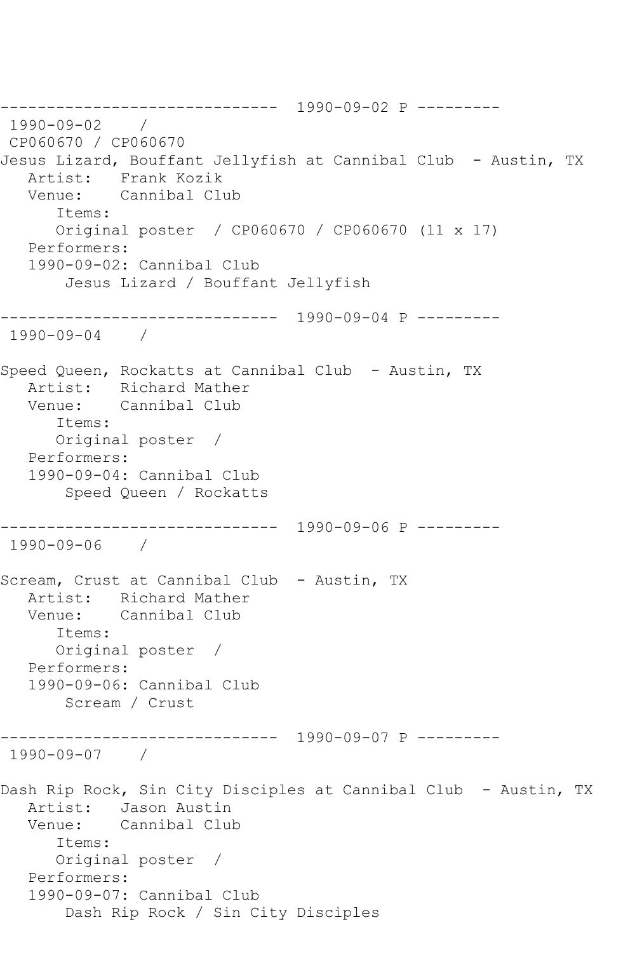------------------------------ 1990-09-02 P --------- 1990-09-02 / CP060670 / CP060670 Jesus Lizard, Bouffant Jellyfish at Cannibal Club - Austin, TX Artist: Frank Kozik Venue: Cannibal Club Items: Original poster / CP060670 / CP060670 (11 x 17) Performers: 1990-09-02: Cannibal Club Jesus Lizard / Bouffant Jellyfish ------------------------------ 1990-09-04 P --------- 1990-09-04 / Speed Queen, Rockatts at Cannibal Club - Austin, TX Artist: Richard Mather Venue: Cannibal Club Items: Original poster / Performers: 1990-09-04: Cannibal Club Speed Queen / Rockatts ------------------------------ 1990-09-06 P --------- 1990-09-06 / Scream, Crust at Cannibal Club - Austin, TX Artist: Richard Mather Venue: Cannibal Club Items: Original poster / Performers: 1990-09-06: Cannibal Club Scream / Crust ------------------------------ 1990-09-07 P --------- 1990-09-07 / Dash Rip Rock, Sin City Disciples at Cannibal Club - Austin, TX Artist: Jason Austin Venue: Cannibal Club Items: Original poster / Performers: 1990-09-07: Cannibal Club Dash Rip Rock / Sin City Disciples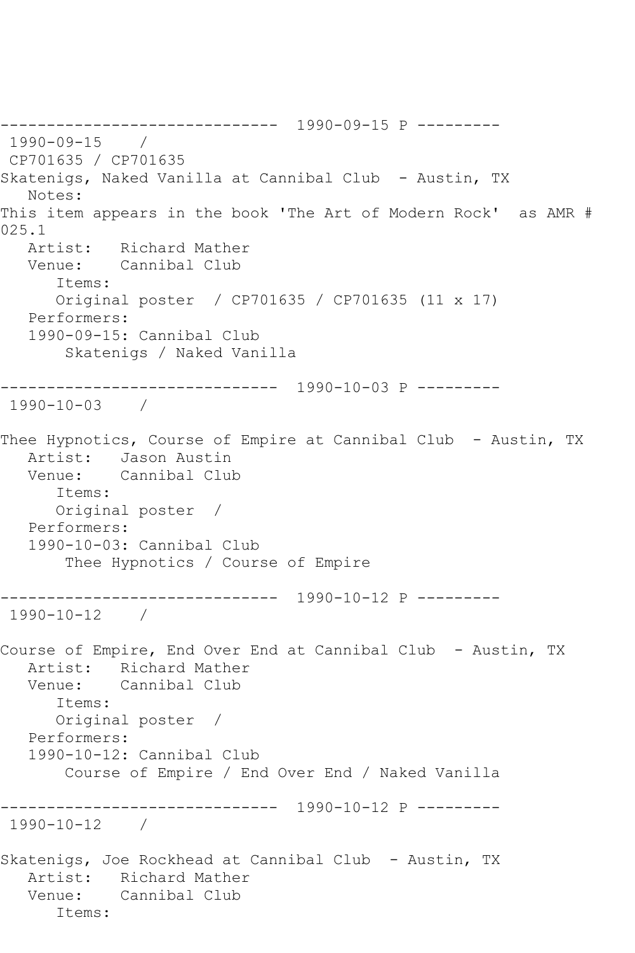------------------------------ 1990-09-15 P --------- 1990-09-15 / CP701635 / CP701635 Skatenigs, Naked Vanilla at Cannibal Club - Austin, TX Notes: This item appears in the book 'The Art of Modern Rock' as AMR # 025.1 Artist: Richard Mather Venue: Cannibal Club Items: Original poster / CP701635 / CP701635 (11 x 17) Performers: 1990-09-15: Cannibal Club Skatenigs / Naked Vanilla ------------------------------ 1990-10-03 P --------- 1990-10-03 / Thee Hypnotics, Course of Empire at Cannibal Club - Austin, TX Artist: Jason Austin Venue: Cannibal Club Items: Original poster / Performers: 1990-10-03: Cannibal Club Thee Hypnotics / Course of Empire ------------------------------ 1990-10-12 P --------- 1990-10-12 / Course of Empire, End Over End at Cannibal Club - Austin, TX Artist: Richard Mather<br>Venue: Cannibal Club Cannibal Club Items: Original poster / Performers: 1990-10-12: Cannibal Club Course of Empire / End Over End / Naked Vanilla ------------------------------ 1990-10-12 P --------- 1990-10-12 / Skatenigs, Joe Rockhead at Cannibal Club - Austin, TX Artist: Richard Mather Venue: Cannibal Club Items: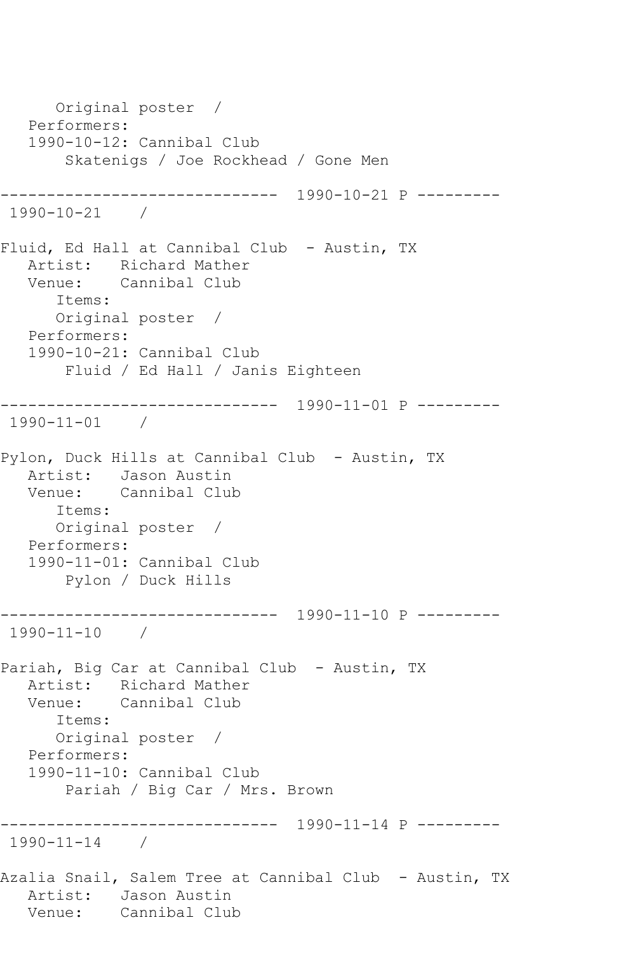Original poster / Performers: 1990-10-12: Cannibal Club Skatenigs / Joe Rockhead / Gone Men ------------------------------ 1990-10-21 P --------- 1990-10-21 / Fluid, Ed Hall at Cannibal Club - Austin, TX Artist: Richard Mather Venue: Cannibal Club Items: Original poster / Performers: 1990-10-21: Cannibal Club Fluid / Ed Hall / Janis Eighteen ------------------------------ 1990-11-01 P --------- 1990-11-01 / Pylon, Duck Hills at Cannibal Club - Austin, TX Artist: Jason Austin Venue: Cannibal Club Items: Original poster / Performers: 1990-11-01: Cannibal Club Pylon / Duck Hills ------------------------------ 1990-11-10 P --------- 1990-11-10 / Pariah, Big Car at Cannibal Club - Austin, TX Artist: Richard Mather Venue: Cannibal Club Items: Original poster / Performers: 1990-11-10: Cannibal Club Pariah / Big Car / Mrs. Brown ------------------------------ 1990-11-14 P --------- 1990-11-14 / Azalia Snail, Salem Tree at Cannibal Club - Austin, TX Artist: Jason Austin<br>Venue: Cannibal Clul Cannibal Club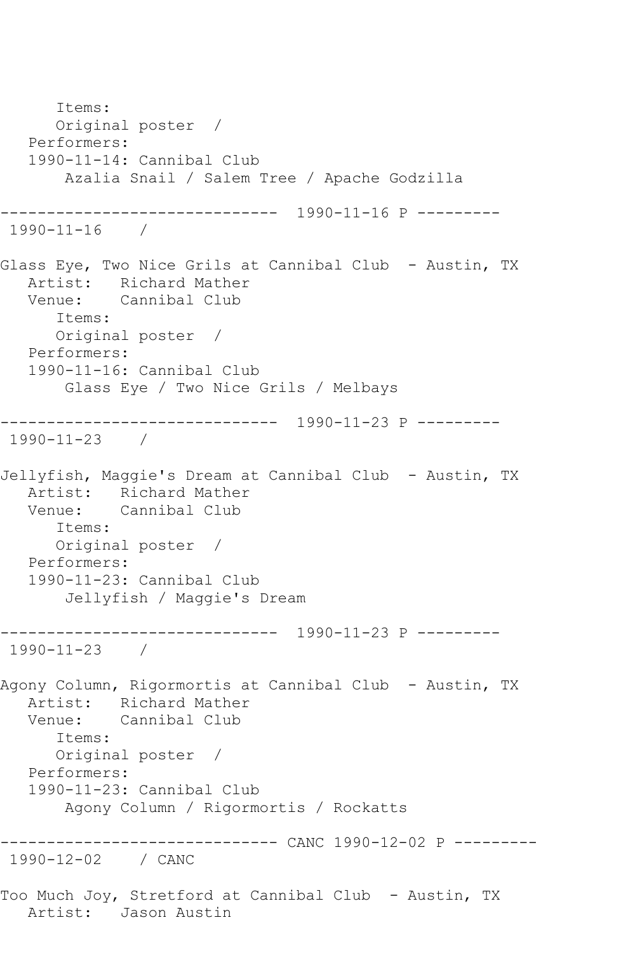Items: Original poster / Performers: 1990-11-14: Cannibal Club Azalia Snail / Salem Tree / Apache Godzilla ------------------------------ 1990-11-16 P --------- 1990-11-16 / Glass Eye, Two Nice Grils at Cannibal Club - Austin, TX Artist: Richard Mather Venue: Cannibal Club Items: Original poster / Performers: 1990-11-16: Cannibal Club Glass Eye / Two Nice Grils / Melbays ------------------------------ 1990-11-23 P --------- 1990-11-23 / Jellyfish, Maggie's Dream at Cannibal Club - Austin, TX Artist: Richard Mather Venue: Cannibal Club Items: Original poster / Performers: 1990-11-23: Cannibal Club Jellyfish / Maggie's Dream ------------------------------ 1990-11-23 P --------- 1990-11-23 / Agony Column, Rigormortis at Cannibal Club - Austin, TX Artist: Richard Mather Venue: Cannibal Club Items: Original poster / Performers: 1990-11-23: Cannibal Club Agony Column / Rigormortis / Rockatts ------------------------------ CANC 1990-12-02 P --------- 1990-12-02 / CANC Too Much Joy, Stretford at Cannibal Club - Austin, TX Artist: Jason Austin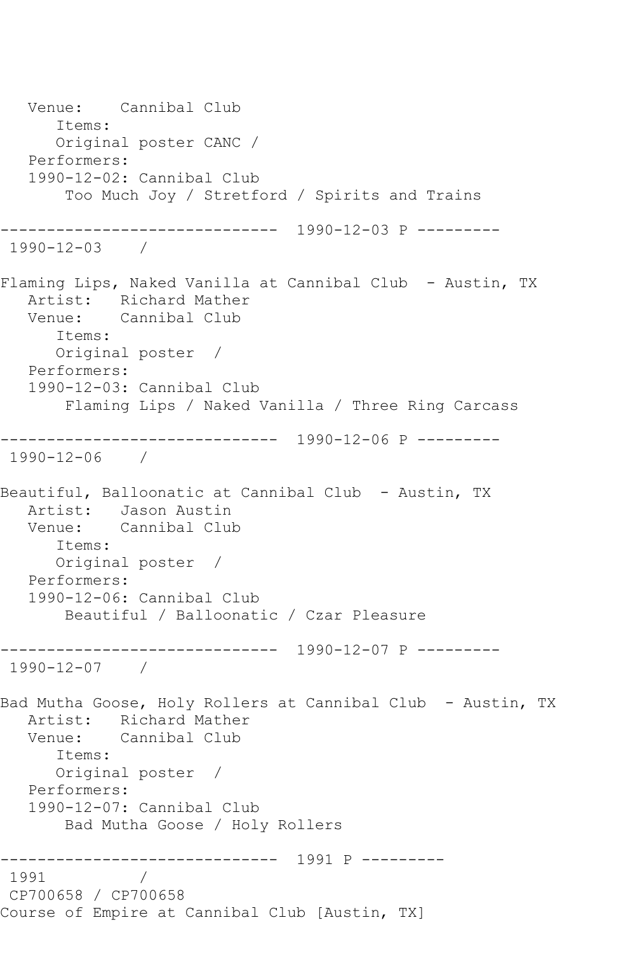Venue: Cannibal Club Items: Original poster CANC / Performers: 1990-12-02: Cannibal Club Too Much Joy / Stretford / Spirits and Trains ------------------------------ 1990-12-03 P --------- 1990-12-03 / Flaming Lips, Naked Vanilla at Cannibal Club - Austin, TX Artist: Richard Mather<br>Venue: Cannibal Club Cannibal Club Items: Original poster / Performers: 1990-12-03: Cannibal Club Flaming Lips / Naked Vanilla / Three Ring Carcass ------------------------------ 1990-12-06 P --------- 1990-12-06 / Beautiful, Balloonatic at Cannibal Club - Austin, TX Artist: Jason Austin Venue: Cannibal Club Items: Original poster / Performers: 1990-12-06: Cannibal Club Beautiful / Balloonatic / Czar Pleasure ------------------------------ 1990-12-07 P --------- 1990-12-07 / Bad Mutha Goose, Holy Rollers at Cannibal Club - Austin, TX Artist: Richard Mather Venue: Cannibal Club Items: Original poster / Performers: 1990-12-07: Cannibal Club Bad Mutha Goose / Holy Rollers ------------------------------ 1991 P --------- 1991 CP700658 / CP700658 Course of Empire at Cannibal Club [Austin, TX]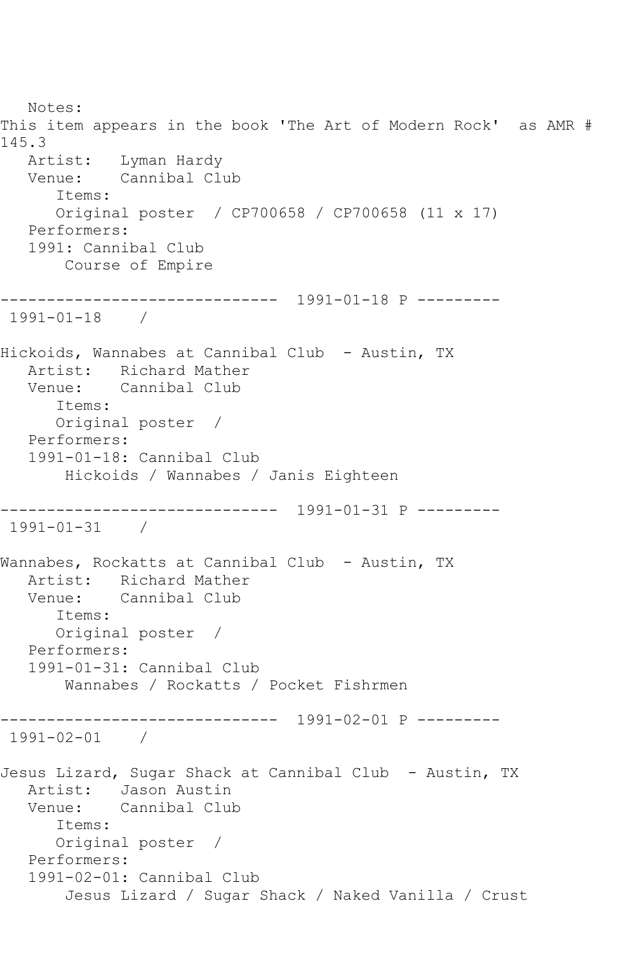Notes: This item appears in the book 'The Art of Modern Rock' as AMR # 145.3 Artist: Lyman Hardy<br>Venue: Cannibal Cl Cannibal Club Items: Original poster / CP700658 / CP700658 (11 x 17) Performers: 1991: Cannibal Club Course of Empire ------------------------------ 1991-01-18 P --------- 1991-01-18 / Hickoids, Wannabes at Cannibal Club - Austin, TX Artist: Richard Mather Venue: Cannibal Club Items: Original poster / Performers: 1991-01-18: Cannibal Club Hickoids / Wannabes / Janis Eighteen ------------------------------ 1991-01-31 P --------- 1991-01-31 / Wannabes, Rockatts at Cannibal Club - Austin, TX Artist: Richard Mather Venue: Cannibal Club Items: Original poster / Performers: 1991-01-31: Cannibal Club Wannabes / Rockatts / Pocket Fishrmen ------------------------------ 1991-02-01 P --------- 1991-02-01 / Jesus Lizard, Sugar Shack at Cannibal Club - Austin, TX Artist: Jason Austin Venue: Cannibal Club Items: Original poster / Performers: 1991-02-01: Cannibal Club Jesus Lizard / Sugar Shack / Naked Vanilla / Crust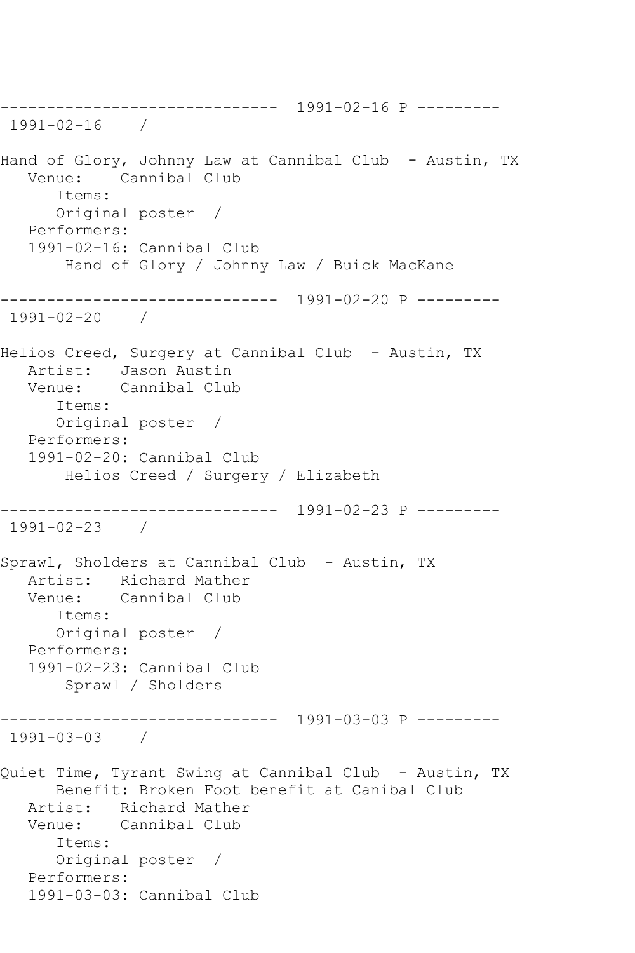------------------------------ 1991-02-16 P --------- 1991-02-16 / Hand of Glory, Johnny Law at Cannibal Club - Austin, TX Venue: Cannibal Club Items: Original poster / Performers: 1991-02-16: Cannibal Club Hand of Glory / Johnny Law / Buick MacKane ------------------------------ 1991-02-20 P --------- 1991-02-20 / Helios Creed, Surgery at Cannibal Club - Austin, TX Artist: Jason Austin Venue: Cannibal Club Items: Original poster / Performers: 1991-02-20: Cannibal Club Helios Creed / Surgery / Elizabeth ------------------------------ 1991-02-23 P --------- 1991-02-23 / Sprawl, Sholders at Cannibal Club - Austin, TX Artist: Richard Mather Venue: Cannibal Club Items: Original poster / Performers: 1991-02-23: Cannibal Club Sprawl / Sholders ------------------------------ 1991-03-03 P --------- 1991-03-03 / Quiet Time, Tyrant Swing at Cannibal Club - Austin, TX Benefit: Broken Foot benefit at Canibal Club Artist: Richard Mather Venue: Cannibal Club Items: Original poster / Performers: 1991-03-03: Cannibal Club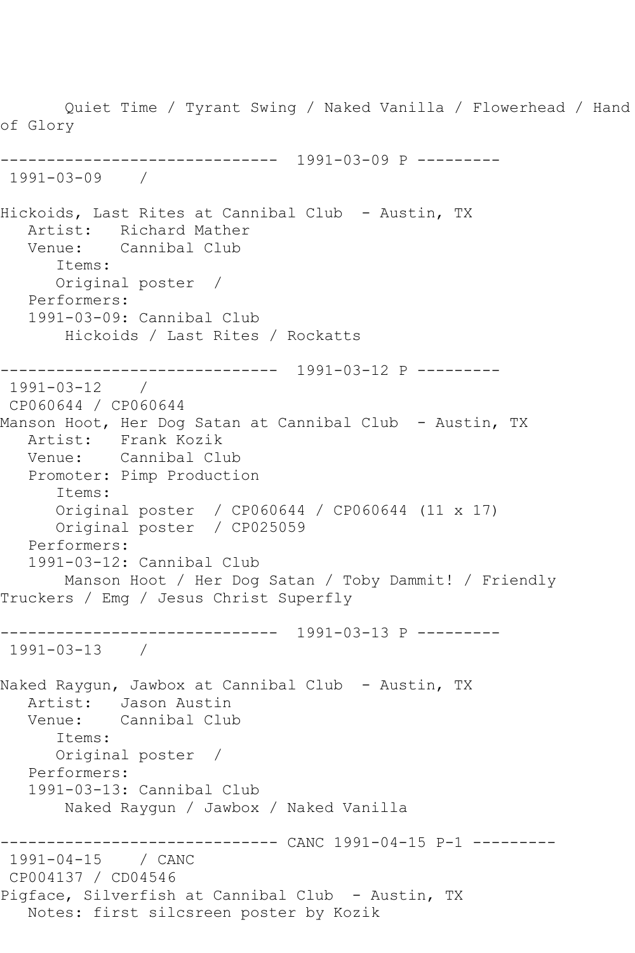Quiet Time / Tyrant Swing / Naked Vanilla / Flowerhead / Hand of Glory ------------------------------ 1991-03-09 P --------- 1991-03-09 / Hickoids, Last Rites at Cannibal Club - Austin, TX Artist: Richard Mather Venue: Cannibal Club Items: Original poster / Performers: 1991-03-09: Cannibal Club Hickoids / Last Rites / Rockatts ------------------------------ 1991-03-12 P --------- 1991-03-12 / CP060644 / CP060644 Manson Hoot, Her Dog Satan at Cannibal Club - Austin, TX Artist: Frank Kozik Venue: Cannibal Club Promoter: Pimp Production Items: Original poster / CP060644 / CP060644 (11 x 17) Original poster / CP025059 Performers: 1991-03-12: Cannibal Club Manson Hoot / Her Dog Satan / Toby Dammit! / Friendly Truckers / Emg / Jesus Christ Superfly ------------------------------ 1991-03-13 P --------- 1991-03-13 / Naked Raygun, Jawbox at Cannibal Club - Austin, TX Artist: Jason Austin Venue: Cannibal Club Items: Original poster / Performers: 1991-03-13: Cannibal Club Naked Raygun / Jawbox / Naked Vanilla ------------------------------ CANC 1991-04-15 P-1 --------- 1991-04-15 / CANC CP004137 / CD04546 Pigface, Silverfish at Cannibal Club - Austin, TX Notes: first silcsreen poster by Kozik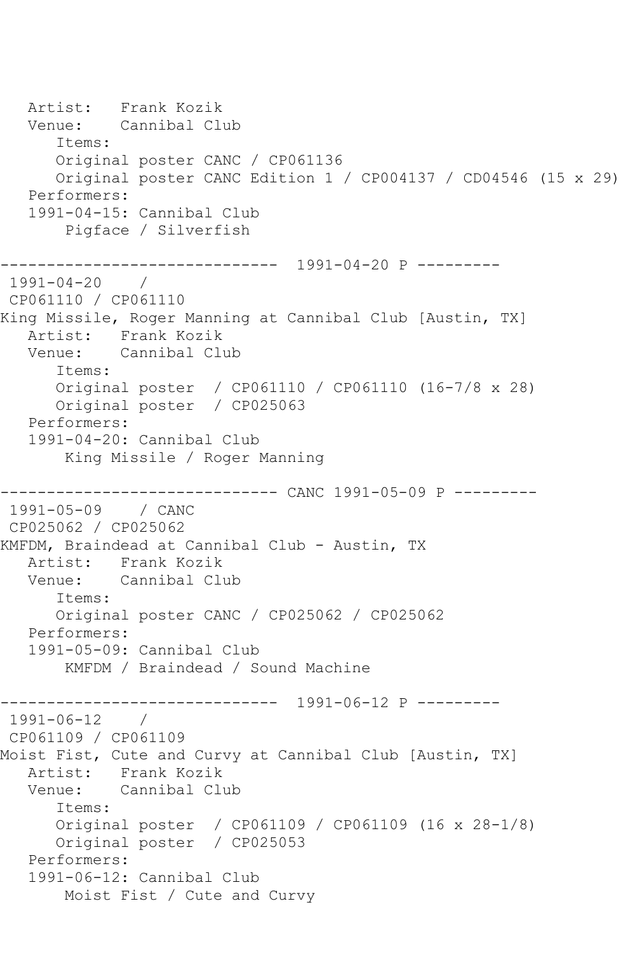Artist: Frank Kozik<br>Venue: Cannibal Cl Cannibal Club Items: Original poster CANC / CP061136 Original poster CANC Edition 1 / CP004137 / CD04546 (15 x 29) Performers: 1991-04-15: Cannibal Club Pigface / Silverfish ------------------------------ 1991-04-20 P --------- 1991-04-20 / CP061110 / CP061110 King Missile, Roger Manning at Cannibal Club [Austin, TX] Artist: Frank Kozik Venue: Cannibal Club Items: Original poster / CP061110 / CP061110 (16-7/8 x 28) Original poster / CP025063 Performers: 1991-04-20: Cannibal Club King Missile / Roger Manning ------------ CANC 1991-05-09 P ---------1991-05-09 / CANC CP025062 / CP025062 KMFDM, Braindead at Cannibal Club - Austin, TX Artist: Frank Kozik<br>Venue: Cannibal Clu Cannibal Club Items: Original poster CANC / CP025062 / CP025062 Performers: 1991-05-09: Cannibal Club KMFDM / Braindead / Sound Machine ------------------------------ 1991-06-12 P --------- 1991-06-12 / CP061109 / CP061109 Moist Fist, Cute and Curvy at Cannibal Club [Austin, TX] Artist: Frank Kozik<br>Venue: Cannibal Cli Cannibal Club Items: Original poster / CP061109 / CP061109 (16 x 28-1/8) Original poster / CP025053 Performers: 1991-06-12: Cannibal Club Moist Fist / Cute and Curvy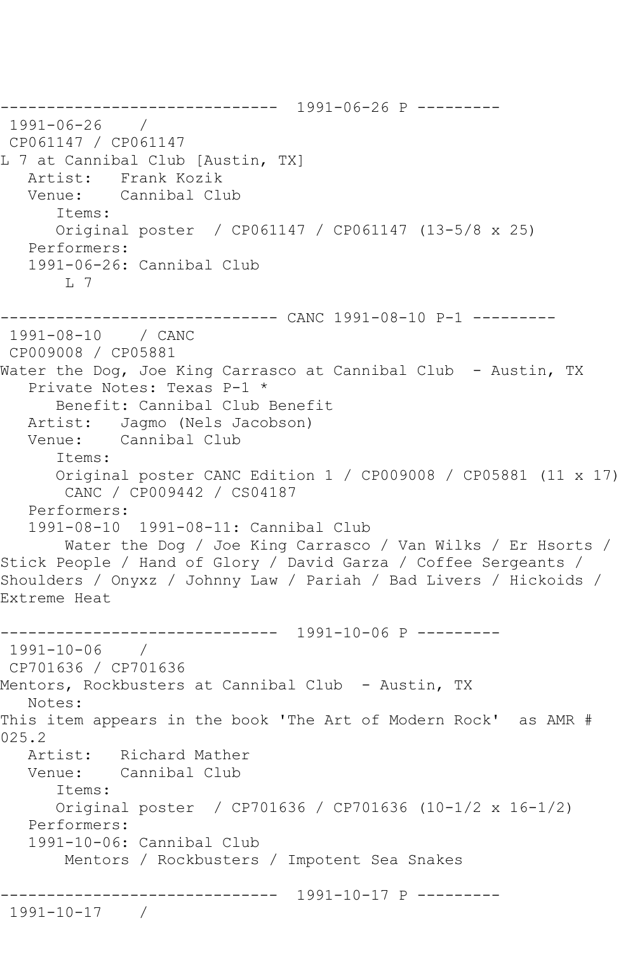------------------------------ 1991-06-26 P --------- 1991-06-26 / CP061147 / CP061147 L 7 at Cannibal Club [Austin, TX] Artist: Frank Kozik Venue: Cannibal Club Items: Original poster / CP061147 / CP061147 (13-5/8 x 25) Performers: 1991-06-26: Cannibal Club L 7 ------------------------------ CANC 1991-08-10 P-1 --------- 1991-08-10 / CANC CP009008 / CP05881 Water the Dog, Joe King Carrasco at Cannibal Club - Austin, TX Private Notes: Texas P-1 \* Benefit: Cannibal Club Benefit Artist: Jagmo (Nels Jacobson) Venue: Cannibal Club Items: Original poster CANC Edition 1 / CP009008 / CP05881 (11 x 17) CANC / CP009442 / CS04187 Performers: 1991-08-10 1991-08-11: Cannibal Club Water the Dog / Joe King Carrasco / Van Wilks / Er Hsorts / Stick People / Hand of Glory / David Garza / Coffee Sergeants / Shoulders / Onyxz / Johnny Law / Pariah / Bad Livers / Hickoids / Extreme Heat ------------------------------ 1991-10-06 P --------- 1991-10-06 / CP701636 / CP701636 Mentors, Rockbusters at Cannibal Club - Austin, TX Notes: This item appears in the book 'The Art of Modern Rock' as AMR # 025.2 Artist: Richard Mather Venue: Cannibal Club Items: Original poster / CP701636 / CP701636 (10-1/2 x 16-1/2) Performers: 1991-10-06: Cannibal Club Mentors / Rockbusters / Impotent Sea Snakes ------------------------------ 1991-10-17 P --------- 1991-10-17 /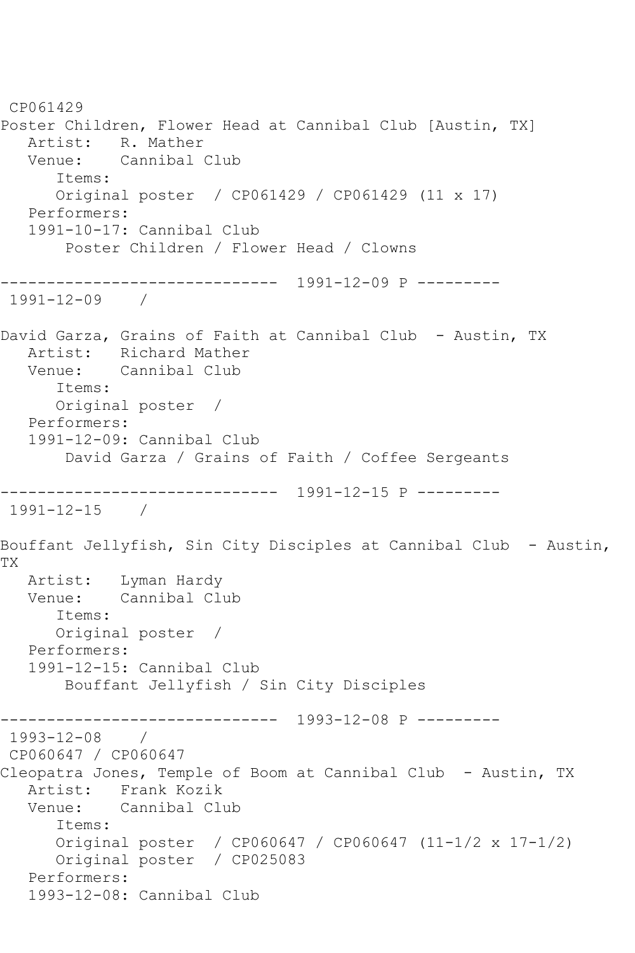CP061429 Poster Children, Flower Head at Cannibal Club [Austin, TX] Artist: R. Mather Venue: Cannibal Club Items: Original poster / CP061429 / CP061429 (11 x 17) Performers: 1991-10-17: Cannibal Club Poster Children / Flower Head / Clowns ------------------------------ 1991-12-09 P --------- 1991-12-09 / David Garza, Grains of Faith at Cannibal Club - Austin, TX Artist: Richard Mather Venue: Cannibal Club Items: Original poster / Performers: 1991-12-09: Cannibal Club David Garza / Grains of Faith / Coffee Sergeants ------------------------------ 1991-12-15 P --------- 1991-12-15 / Bouffant Jellyfish, Sin City Disciples at Cannibal Club - Austin, TX Artist: Lyman Hardy Venue: Cannibal Club Items: Original poster / Performers: 1991-12-15: Cannibal Club Bouffant Jellyfish / Sin City Disciples ------------------------------ 1993-12-08 P --------- 1993-12-08 / CP060647 / CP060647 Cleopatra Jones, Temple of Boom at Cannibal Club - Austin, TX Artist: Frank Kozik Venue: Cannibal Club Items: Original poster / CP060647 / CP060647 (11-1/2 x 17-1/2) Original poster / CP025083 Performers: 1993-12-08: Cannibal Club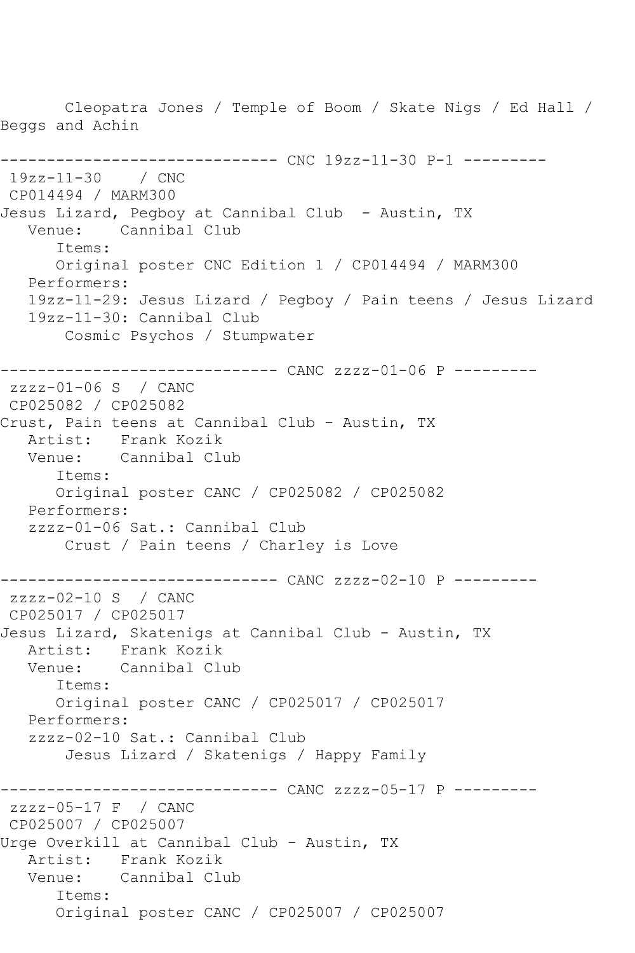Cleopatra Jones / Temple of Boom / Skate Nigs / Ed Hall / Beggs and Achin ------------------------------ CNC 19zz-11-30 P-1 --------- 19zz-11-30 / CNC CP014494 / MARM300 Jesus Lizard, Pegboy at Cannibal Club - Austin, TX Venue: Cannibal Club Items: Original poster CNC Edition 1 / CP014494 / MARM300 Performers: 19zz-11-29: Jesus Lizard / Pegboy / Pain teens / Jesus Lizard 19zz-11-30: Cannibal Club Cosmic Psychos / Stumpwater ------------------------------ CANC zzzz-01-06 P -------- zzzz-01-06 S / CANC CP025082 / CP025082 Crust, Pain teens at Cannibal Club - Austin, TX Artist: Frank Kozik Venue: Cannibal Club Items: Original poster CANC / CP025082 / CP025082 Performers: zzzz-01-06 Sat.: Cannibal Club Crust / Pain teens / Charley is Love ------------------------------ CANC zzzz-02-10 P -------- zzzz-02-10 S / CANC CP025017 / CP025017 Jesus Lizard, Skatenigs at Cannibal Club - Austin, TX Artist: Frank Kozik<br>Venue: Cannibal Clu Cannibal Club Items: Original poster CANC / CP025017 / CP025017 Performers: zzzz-02-10 Sat.: Cannibal Club Jesus Lizard / Skatenigs / Happy Family ------------------------------ CANC zzzz-05-17 P -------- zzzz-05-17 F / CANC CP025007 / CP025007 Urge Overkill at Cannibal Club - Austin, TX Artist: Frank Kozik Venue: Cannibal Club Items: Original poster CANC / CP025007 / CP025007